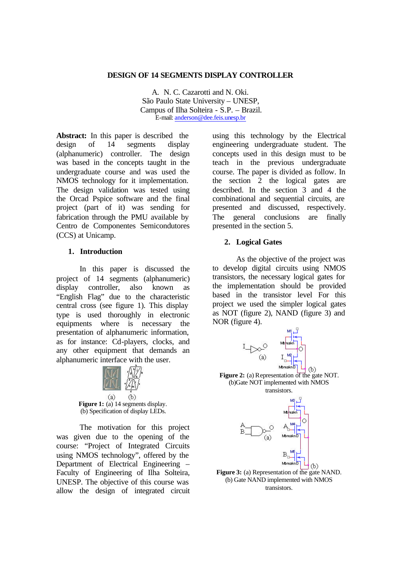#### **DESIGN OF 14 SEGMENTS DISPLAY CONTROLLER**

A. N. C. Cazarotti and N. Oki. São Paulo State University – UNESP, Campus of Ilha Solteira - S.P. – Brazil. E-mail: anderson@dee.feis.unesp.br

**Abstract:** In this paper is described the design of 14 segments display (alphanumeric) controller. The design was based in the concepts taught in the undergraduate course and was used the NMOS technology for it implementation. The design validation was tested using the Orcad Pspice software and the final project (part of it) was sending for fabrication through the PMU available by Centro de Componentes Semicondutores (CCS) at Unicamp.

#### **1. Introduction**

In this paper is discussed the project of 14 segments (alphanumeric) display controller, also known as "English Flag" due to the characteristic central cross (see figure 1). This display type is used thoroughly in electronic equipments where is necessary the presentation of alphanumeric information, as for instance: Cd-players, clocks, and any other equipment that demands an alphanumeric interface with the user.



**Figure 1:** (a) 14 segments display. (b) Specification of display LEDs.

The motivation for this project was given due to the opening of the course: "Project of Integrated Circuits using NMOS technology", offered by the Department of Electrical Engineering – Faculty of Engineering of Ilha Solteira, UNESP. The objective of this course was allow the design of integrated circuit

using this technology by the Electrical engineering undergraduate student. The concepts used in this design must to be teach in the previous undergraduate course. The paper is divided as follow. In the section  $\overline{2}$  the logical gates are described. In the section 3 and 4 the combinational and sequential circuits, are presented and discussed, respectively. The general conclusions are finally presented in the section 5.

### **2. Logical Gates**

As the objective of the project was to develop digital circuits using NMOS transistors, the necessary logical gates for the implementation should be provided based in the transistor level For this project we used the simpler logical gates as NOT (figure 2), NAND (figure 3) and NOR (figure 4).



**Figure 2:** (a) Representation of the gate NOT. (b)Gate NOT implemented with NMOS transistors.

ለነ



**Figure 3:** (a) Representation of the gate NAND. (b) Gate NAND implemented with NMOS transistors.